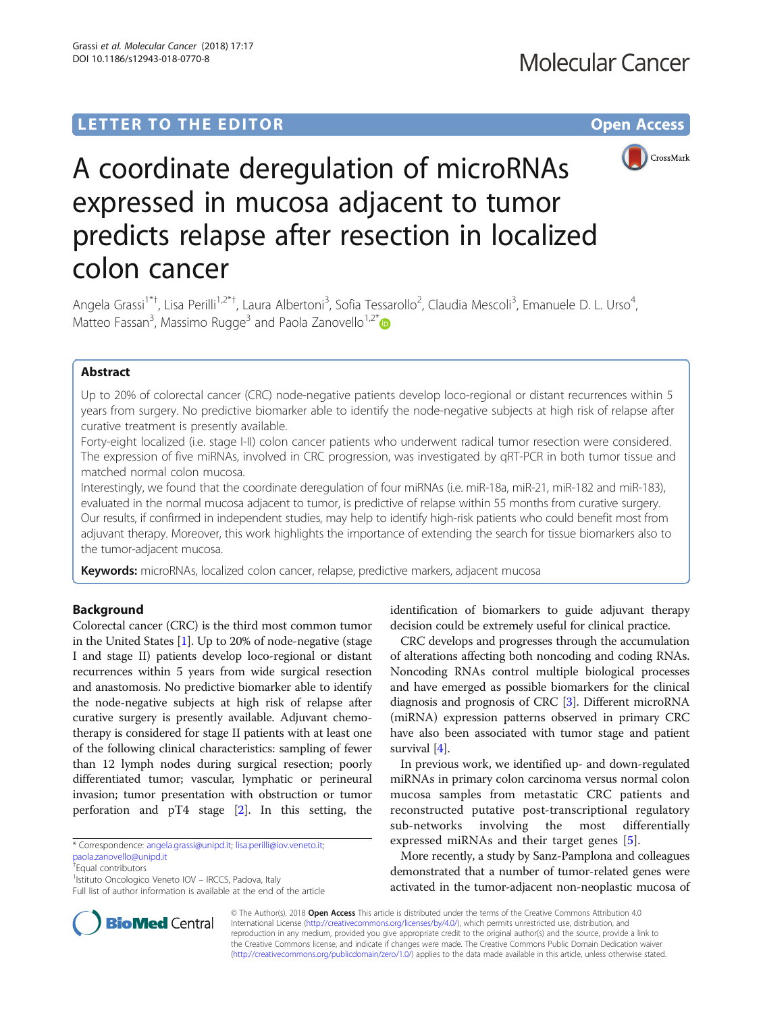

# A coordinate deregulation of microRNAs expressed in mucosa adjacent to tumor predicts relapse after resection in localized colon cancer

Angela Grassi<sup>1\*†</sup>, Lisa Perilli<sup>1,2\*†</sup>, Laura Albertoni<sup>3</sup>, Sofia Tessarollo<sup>2</sup>, Claudia Mescoli<sup>3</sup>, Emanuele D. L. Urso<sup>4</sup> , Matteo Fassan<sup>3</sup>, Massimo Rugge<sup>3</sup> and Paola Zanovello<sup>1,2[\\*](http://orcid.org/0000-0002-9996-2669)</sup>

# Abstract

Up to 20% of colorectal cancer (CRC) node-negative patients develop loco-regional or distant recurrences within 5 years from surgery. No predictive biomarker able to identify the node-negative subjects at high risk of relapse after curative treatment is presently available.

Forty-eight localized (i.e. stage I-II) colon cancer patients who underwent radical tumor resection were considered. The expression of five miRNAs, involved in CRC progression, was investigated by qRT-PCR in both tumor tissue and matched normal colon mucosa.

Interestingly, we found that the coordinate deregulation of four miRNAs (i.e. miR-18a, miR-21, miR-182 and miR-183), evaluated in the normal mucosa adjacent to tumor, is predictive of relapse within 55 months from curative surgery. Our results, if confirmed in independent studies, may help to identify high-risk patients who could benefit most from adjuvant therapy. Moreover, this work highlights the importance of extending the search for tissue biomarkers also to the tumor-adjacent mucosa.

Keywords: microRNAs, localized colon cancer, relapse, predictive markers, adjacent mucosa

# Background

Colorectal cancer (CRC) is the third most common tumor in the United States [\[1](#page-4-0)]. Up to 20% of node-negative (stage I and stage II) patients develop loco-regional or distant recurrences within 5 years from wide surgical resection and anastomosis. No predictive biomarker able to identify the node-negative subjects at high risk of relapse after curative surgery is presently available. Adjuvant chemotherapy is considered for stage II patients with at least one of the following clinical characteristics: sampling of fewer than 12 lymph nodes during surgical resection; poorly differentiated tumor; vascular, lymphatic or perineural invasion; tumor presentation with obstruction or tumor perforation and pT4 stage [[2\]](#page-4-0). In this setting, the

\* Correspondence: [angela.grassi@unipd.it](mailto:angela.grassi@unipd.it); [lisa.perilli@iov.veneto.it;](mailto:lisa.perilli@iov.veneto.it)

[paola.zanovello@unipd.it](mailto:paola.zanovello@unipd.it)

<sup>1</sup>Istituto Oncologico Veneto IOV - IRCCS, Padova, Italy

identification of biomarkers to guide adjuvant therapy decision could be extremely useful for clinical practice.

CRC develops and progresses through the accumulation of alterations affecting both noncoding and coding RNAs. Noncoding RNAs control multiple biological processes and have emerged as possible biomarkers for the clinical diagnosis and prognosis of CRC [\[3\]](#page-4-0). Different microRNA (miRNA) expression patterns observed in primary CRC have also been associated with tumor stage and patient survival [\[4](#page-4-0)].

In previous work, we identified up- and down-regulated miRNAs in primary colon carcinoma versus normal colon mucosa samples from metastatic CRC patients and reconstructed putative post-transcriptional regulatory sub-networks involving the most differentially expressed miRNAs and their target genes [[5\]](#page-4-0).

More recently, a study by Sanz-Pamplona and colleagues demonstrated that a number of tumor-related genes were activated in the tumor-adjacent non-neoplastic mucosa of



© The Author(s). 2018 Open Access This article is distributed under the terms of the Creative Commons Attribution 4.0 International License [\(http://creativecommons.org/licenses/by/4.0/](http://creativecommons.org/licenses/by/4.0/)), which permits unrestricted use, distribution, and reproduction in any medium, provided you give appropriate credit to the original author(s) and the source, provide a link to the Creative Commons license, and indicate if changes were made. The Creative Commons Public Domain Dedication waiver [\(http://creativecommons.org/publicdomain/zero/1.0/](http://creativecommons.org/publicdomain/zero/1.0/)) applies to the data made available in this article, unless otherwise stated.

<sup>†</sup> Equal contributors

Full list of author information is available at the end of the article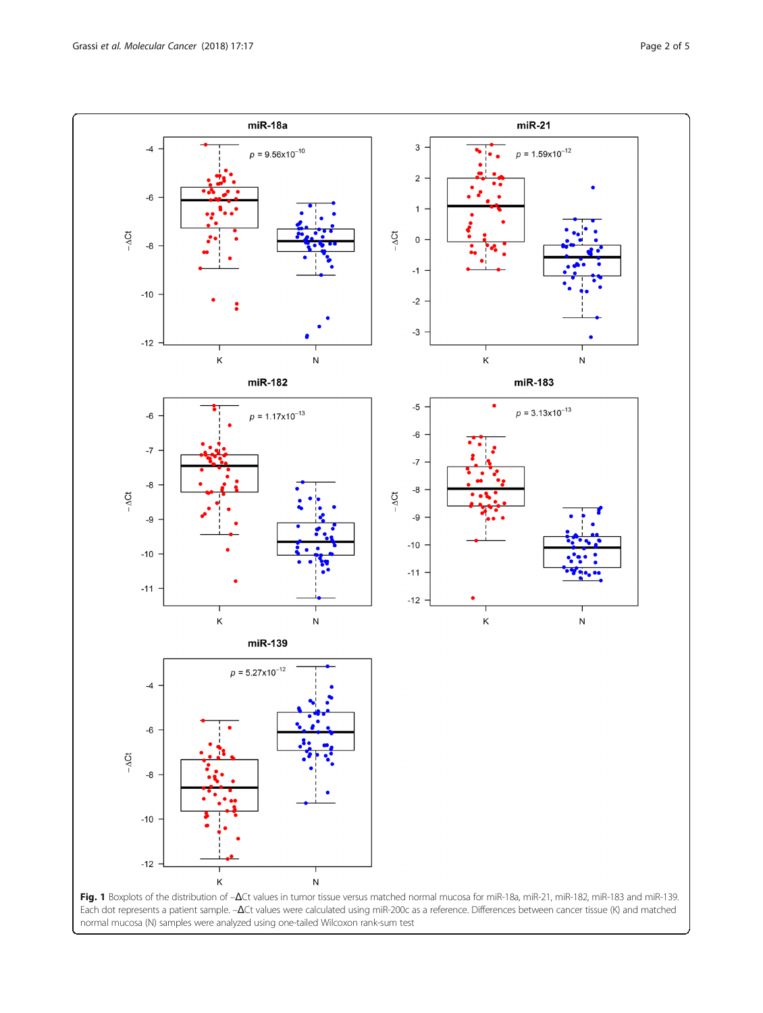<span id="page-1-0"></span>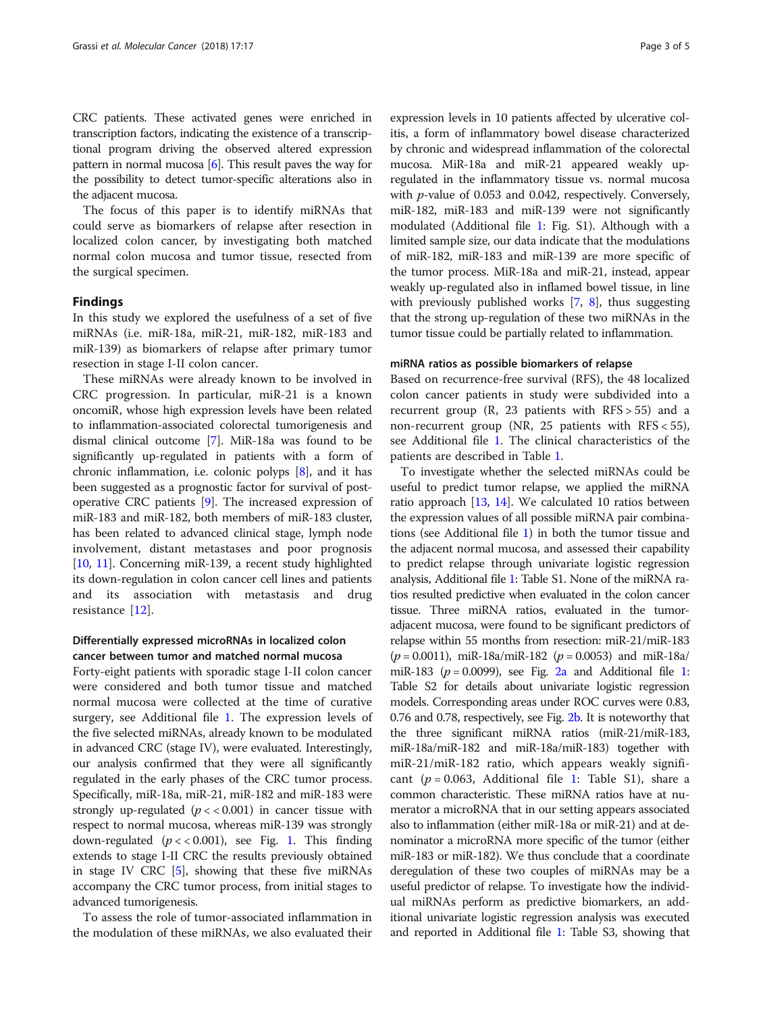CRC patients. These activated genes were enriched in transcription factors, indicating the existence of a transcriptional program driving the observed altered expression pattern in normal mucosa  $[6]$ . This result paves the way for the possibility to detect tumor-specific alterations also in the adjacent mucosa.

The focus of this paper is to identify miRNAs that could serve as biomarkers of relapse after resection in localized colon cancer, by investigating both matched normal colon mucosa and tumor tissue, resected from the surgical specimen.

## Findings

In this study we explored the usefulness of a set of five miRNAs (i.e. miR-18a, miR-21, miR-182, miR-183 and miR-139) as biomarkers of relapse after primary tumor resection in stage I-II colon cancer.

These miRNAs were already known to be involved in CRC progression. In particular, miR-21 is a known oncomiR, whose high expression levels have been related to inflammation-associated colorectal tumorigenesis and dismal clinical outcome [\[7](#page-4-0)]. MiR-18a was found to be significantly up-regulated in patients with a form of chronic inflammation, i.e. colonic polyps [[8](#page-4-0)], and it has been suggested as a prognostic factor for survival of postoperative CRC patients [[9\]](#page-4-0). The increased expression of miR-183 and miR-182, both members of miR-183 cluster, has been related to advanced clinical stage, lymph node involvement, distant metastases and poor prognosis [[10](#page-4-0), [11\]](#page-4-0). Concerning miR-139, a recent study highlighted its down-regulation in colon cancer cell lines and patients and its association with metastasis and drug resistance [[12\]](#page-4-0).

# Differentially expressed microRNAs in localized colon cancer between tumor and matched normal mucosa

Forty-eight patients with sporadic stage I-II colon cancer were considered and both tumor tissue and matched normal mucosa were collected at the time of curative surgery, see Additional file [1](#page-3-0). The expression levels of the five selected miRNAs, already known to be modulated in advanced CRC (stage IV), were evaluated. Interestingly, our analysis confirmed that they were all significantly regulated in the early phases of the CRC tumor process. Specifically, miR-18a, miR-21, miR-182 and miR-183 were strongly up-regulated  $(p \lt 0.001)$  in cancer tissue with respect to normal mucosa, whereas miR-139 was strongly down-regulated  $(p \lt 0.001)$ , see Fig. [1.](#page-1-0) This finding extends to stage I-II CRC the results previously obtained in stage IV CRC [\[5\]](#page-4-0), showing that these five miRNAs accompany the CRC tumor process, from initial stages to advanced tumorigenesis.

To assess the role of tumor-associated inflammation in the modulation of these miRNAs, we also evaluated their

expression levels in 10 patients affected by ulcerative colitis, a form of inflammatory bowel disease characterized by chronic and widespread inflammation of the colorectal mucosa. MiR-18a and miR-21 appeared weakly upregulated in the inflammatory tissue vs. normal mucosa with p-value of 0.053 and 0.042, respectively. Conversely, miR-182, miR-183 and miR-139 were not significantly modulated (Additional file [1:](#page-3-0) Fig. S1). Although with a limited sample size, our data indicate that the modulations of miR-182, miR-183 and miR-139 are more specific of the tumor process. MiR-18a and miR-21, instead, appear weakly up-regulated also in inflamed bowel tissue, in line with previously published works [\[7,](#page-4-0) [8\]](#page-4-0), thus suggesting that the strong up-regulation of these two miRNAs in the tumor tissue could be partially related to inflammation.

## miRNA ratios as possible biomarkers of relapse

Based on recurrence-free survival (RFS), the 48 localized colon cancer patients in study were subdivided into a recurrent group  $(R, 23$  patients with  $RFS > 55$  and a non-recurrent group (NR, 25 patients with RFS < 55), see Additional file [1.](#page-3-0) The clinical characteristics of the patients are described in Table [1.](#page-3-0)

To investigate whether the selected miRNAs could be useful to predict tumor relapse, we applied the miRNA ratio approach [[13](#page-4-0), [14\]](#page-4-0). We calculated 10 ratios between the expression values of all possible miRNA pair combinations (see Additional file [1](#page-3-0)) in both the tumor tissue and the adjacent normal mucosa, and assessed their capability to predict relapse through univariate logistic regression analysis, Additional file [1](#page-3-0): Table S1. None of the miRNA ratios resulted predictive when evaluated in the colon cancer tissue. Three miRNA ratios, evaluated in the tumoradjacent mucosa, were found to be significant predictors of relapse within 55 months from resection: miR-21/miR-183  $(p = 0.0011)$ , miR-18a/miR-182  $(p = 0.0053)$  and miR-18a/ miR-[1](#page-3-0)83 ( $p = 0.0099$ ), see Fig. [2a](#page-3-0) and Additional file 1: Table S2 for details about univariate logistic regression models. Corresponding areas under ROC curves were 0.83, 0.76 and 0.78, respectively, see Fig. [2b](#page-3-0). It is noteworthy that the three significant miRNA ratios (miR-21/miR-183, miR-18a/miR-182 and miR-18a/miR-183) together with miR-21/miR-182 ratio, which appears weakly significant ( $p = 0.063$ , Additional file [1:](#page-3-0) Table S1), share a common characteristic. These miRNA ratios have at numerator a microRNA that in our setting appears associated also to inflammation (either miR-18a or miR-21) and at denominator a microRNA more specific of the tumor (either miR-183 or miR-182). We thus conclude that a coordinate deregulation of these two couples of miRNAs may be a useful predictor of relapse. To investigate how the individual miRNAs perform as predictive biomarkers, an additional univariate logistic regression analysis was executed and reported in Additional file [1](#page-3-0): Table S3, showing that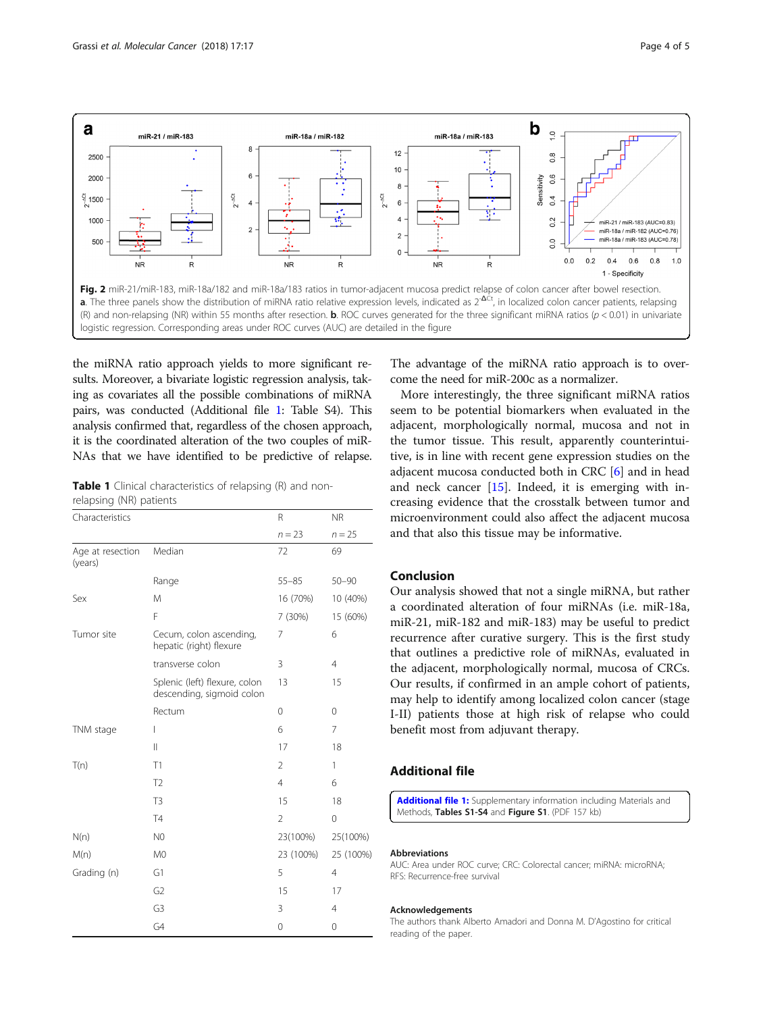<span id="page-3-0"></span>

the miRNA ratio approach yields to more significant results. Moreover, a bivariate logistic regression analysis, taking as covariates all the possible combinations of miRNA pairs, was conducted (Additional file 1: Table S4). This analysis confirmed that, regardless of the chosen approach, it is the coordinated alteration of the two couples of miR-NAs that we have identified to be predictive of relapse.

**Table 1** Clinical characteristics of relapsing (R) and nonrelapsing (NR) patients

| Characteristics             |                                                            | R              | <b>NR</b>      |
|-----------------------------|------------------------------------------------------------|----------------|----------------|
|                             |                                                            | $n = 23$       | $n = 25$       |
| Age at resection<br>(years) | Median                                                     | 72             | 69             |
|                             | Range                                                      | $55 - 85$      | $50 - 90$      |
| Sex                         | M                                                          | 16 (70%)       | 10 (40%)       |
|                             | F                                                          | 7 (30%)        | 15 (60%)       |
| Tumor site                  | Cecum, colon ascending,<br>hepatic (right) flexure         | 7              | 6              |
|                             | transverse colon                                           | 3              | $\overline{4}$ |
|                             | Splenic (left) flexure, colon<br>descending, sigmoid colon | 13             | 15             |
|                             | Rectum                                                     | 0              | $\Omega$       |
| TNM stage                   | L                                                          | 6              | 7              |
|                             | $\mathbb{I}$                                               | 17             | 18             |
| T(n)                        | T1                                                         | $\overline{2}$ | 1              |
|                             | T <sub>2</sub>                                             | $\overline{4}$ | 6              |
|                             | T <sub>3</sub>                                             | 15             | 18             |
|                             | <b>T4</b>                                                  | $\overline{2}$ | 0              |
| N(n)                        | N <sub>0</sub>                                             | 23(100%)       | 25(100%)       |
| M(n)                        | M <sub>0</sub>                                             | 23 (100%)      | 25 (100%)      |
| Grading (n)                 | G1                                                         | 5              | $\overline{4}$ |
|                             | G <sub>2</sub>                                             | 15             | 17             |
|                             | G3                                                         | 3              | 4              |
|                             | G4                                                         | 0              | 0              |

The advantage of the miRNA ratio approach is to overcome the need for miR-200c as a normalizer.

More interestingly, the three significant miRNA ratios seem to be potential biomarkers when evaluated in the adjacent, morphologically normal, mucosa and not in the tumor tissue. This result, apparently counterintuitive, is in line with recent gene expression studies on the adjacent mucosa conducted both in CRC [\[6](#page-4-0)] and in head and neck cancer [[15\]](#page-4-0). Indeed, it is emerging with increasing evidence that the crosstalk between tumor and microenvironment could also affect the adjacent mucosa and that also this tissue may be informative.

# Conclusion

Our analysis showed that not a single miRNA, but rather a coordinated alteration of four miRNAs (i.e. miR-18a, miR-21, miR-182 and miR-183) may be useful to predict recurrence after curative surgery. This is the first study that outlines a predictive role of miRNAs, evaluated in the adjacent, morphologically normal, mucosa of CRCs. Our results, if confirmed in an ample cohort of patients, may help to identify among localized colon cancer (stage I-II) patients those at high risk of relapse who could benefit most from adjuvant therapy.

# Additional file

[Additional file 1:](dx.doi.org/10.1186/s12943-018-0770-8) Supplementary information including Materials and Methods, Tables S1-S4 and Figure S1. (PDF 157 kb)

#### Abbreviations

AUC: Area under ROC curve; CRC: Colorectal cancer; miRNA: microRNA; RFS: Recurrence-free survival

#### Acknowledgements

The authors thank Alberto Amadori and Donna M. D'Agostino for critical reading of the paper.